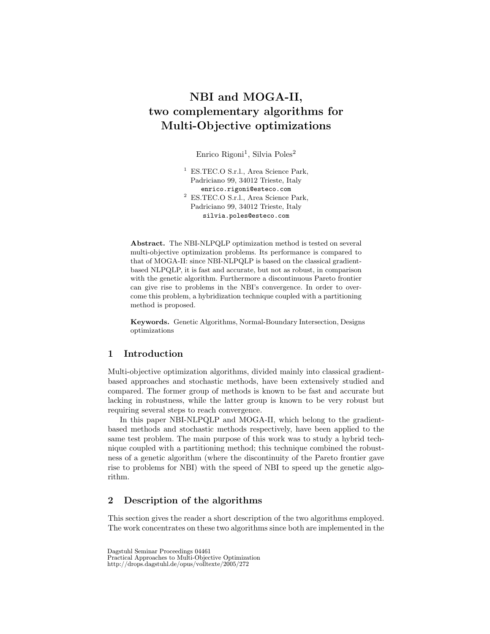# NBI and MOGA-II, two complementary algorithms for Multi-Objective optimizations

Enrico Rigoni<sup>1</sup>, Silvia Poles<sup>2</sup>

<sup>1</sup> ES.TEC.O S.r.l., Area Science Park, Padriciano 99, 34012 Trieste, Italy enrico.rigoni@esteco.com <sup>2</sup> ES.TEC.O S.r.l., Area Science Park, Padriciano 99, 34012 Trieste, Italy silvia.poles@esteco.com

Abstract. The NBI-NLPQLP optimization method is tested on several multi-objective optimization problems. Its performance is compared to that of MOGA-II: since NBI-NLPQLP is based on the classical gradientbased NLPQLP, it is fast and accurate, but not as robust, in comparison with the genetic algorithm. Furthermore a discontinuous Pareto frontier can give rise to problems in the NBI's convergence. In order to overcome this problem, a hybridization technique coupled with a partitioning method is proposed.

Keywords. Genetic Algorithms, Normal-Boundary Intersection, Designs optimizations

## 1 Introduction

Multi-objective optimization algorithms, divided mainly into classical gradientbased approaches and stochastic methods, have been extensively studied and compared. The former group of methods is known to be fast and accurate but lacking in robustness, while the latter group is known to be very robust but requiring several steps to reach convergence.

In this paper NBI-NLPQLP and MOGA-II, which belong to the gradientbased methods and stochastic methods respectively, have been applied to the same test problem. The main purpose of this work was to study a hybrid technique coupled with a partitioning method; this technique combined the robustness of a genetic algorithm (where the discontinuity of the Pareto frontier gave rise to problems for NBI) with the speed of NBI to speed up the genetic algorithm.

# 2 Description of the algorithms

This section gives the reader a short description of the two algorithms employed. The work concentrates on these two algorithms since both are implemented in the

Dagstuhl Seminar Proceedings 04461 Practical Approaches to Multi-Objective Optimization http://drops.dagstuhl.de/opus/volltexte/2005/272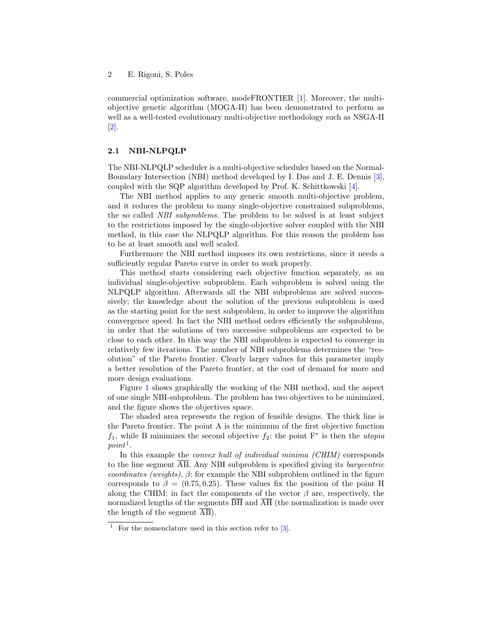commercial optimization software, modeFRONTIER [\[1\]](#page-20-0). Moreover, the multiobjective genetic algorithm (MOGA-II) has been demonstrated to perform as well as a well-tested evolutionary multi-objective methodology such as NSGA-II [\[2\]](#page-21-0).

#### 2.1 NBI-NLPQLP

The NBI-NLPQLP scheduler is a multi-objective scheduler based on the Normal-Boundary Intersection (NBI) method developed by I. Das and J. E. Dennis [\[3\]](#page-21-1), coupled with the SQP algorithm developed by Prof. K. Schittkowski [\[4\]](#page-21-2).

The NBI method applies to any generic smooth multi-objective problem, and it reduces the problem to many single-objective constrained subproblems, the so called NBI subproblems. The problem to be solved is at least subject to the restrictions imposed by the single-objective solver coupled with the NBI method, in this case the NLPQLP algorithm. For this reason the problem has to be at least smooth and well scaled.

Furthermore the NBI method imposes its own restrictions, since it needs a sufficiently regular Pareto curve in order to work properly.

This method starts considering each objective function separately, as an individual single-objective subproblem. Each subproblem is solved using the NLPQLP algorithm. Afterwards all the NBI subproblems are solved successively; the knowledge about the solution of the previous subproblem is used as the starting point for the next subproblem, in order to improve the algorithm convergence speed. In fact the NBI method orders efficiently the subproblems, in order that the solutions of two successive subproblems are expected to be close to each other. In this way the NBI subproblem is expected to converge in relatively few iterations. The number of NBI subproblems determines the "resolution" of the Pareto frontier. Clearly larger values for this parameter imply a better resolution of the Pareto frontier, at the cost of demand for more and more design evaluations.

Figure [1](#page-2-0) shows graphically the working of the NBI method, and the aspect of one single NBI-subproblem. The problem has two objectives to be minimized, and the figure shows the objectives space.

The shaded area represents the region of feasible designs. The thick line is the Pareto frontier. The point A is the minimum of the first objective function  $f_1$ , while B minimizes the second objective  $f_2$ : the point  $F^*$  is then the *utopia*  $point<sup>1</sup>$  $point<sup>1</sup>$  $point<sup>1</sup>$ .

In this example the *convex hull of individual minima (CHIM)* corresponds to the line segment AB. Any NBI subproblem is specified giving its barycentric coordinates (weights),  $\beta$ : for example the NBI subproblem outlined in the figure corresponds to  $\beta = (0.75, 0.25)$ . These values fix the position of the point H along the CHIM: in fact the components of the vector  $\beta$  are, respectively, the normalized lengths of the segments  $\overline{BH}$  and  $\overline{AH}$  (the normalization is made over the length of the segment  $\overline{AB}$ ).

<span id="page-1-0"></span><sup>&</sup>lt;sup>1</sup> For the nomenclature used in this section refer to  $[3]$ .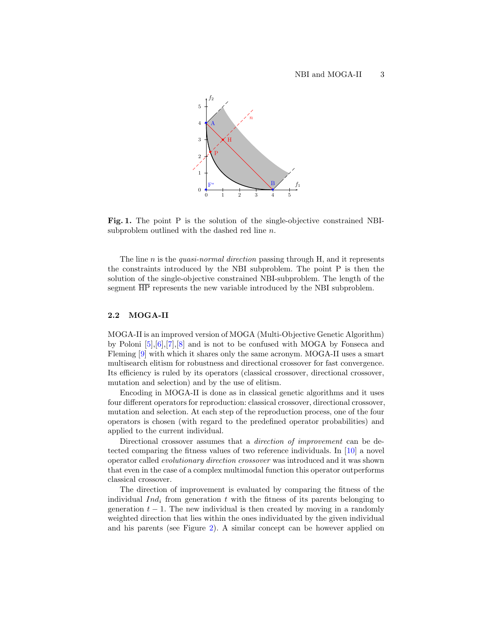

<span id="page-2-0"></span>Fig. 1. The point P is the solution of the single-objective constrained NBIsubproblem outlined with the dashed red line n.

The line  $n$  is the *quasi-normal direction* passing through H, and it represents the constraints introduced by the NBI subproblem. The point P is then the solution of the single-objective constrained NBI-subproblem. The length of the segment  $\overline{HP}$  represents the new variable introduced by the NBI subproblem.

#### 2.2 MOGA-II

MOGA-II is an improved version of MOGA (Multi-Objective Genetic Algorithm) by Poloni [\[5\]](#page-21-3),[\[6\]](#page-21-4),[\[7\]](#page-21-5),[\[8\]](#page-21-6) and is not to be confused with MOGA by Fonseca and Fleming [\[9\]](#page-21-7) with which it shares only the same acronym. MOGA-II uses a smart multisearch elitism for robustness and directional crossover for fast convergence. Its efficiency is ruled by its operators (classical crossover, directional crossover, mutation and selection) and by the use of elitism.

Encoding in MOGA-II is done as in classical genetic algorithms and it uses four different operators for reproduction: classical crossover, directional crossover, mutation and selection. At each step of the reproduction process, one of the four operators is chosen (with regard to the predefined operator probabilities) and applied to the current individual.

Directional crossover assumes that a *direction of improvement* can be detected comparing the fitness values of two reference individuals. In [\[10\]](#page-21-8) a novel operator called evolutionary direction crossover was introduced and it was shown that even in the case of a complex multimodal function this operator outperforms classical crossover.

The direction of improvement is evaluated by comparing the fitness of the individual  $Ind_i$  from generation t with the fitness of its parents belonging to generation  $t - 1$ . The new individual is then created by moving in a randomly weighted direction that lies within the ones individuated by the given individual and his parents (see Figure [2\)](#page-3-0). A similar concept can be however applied on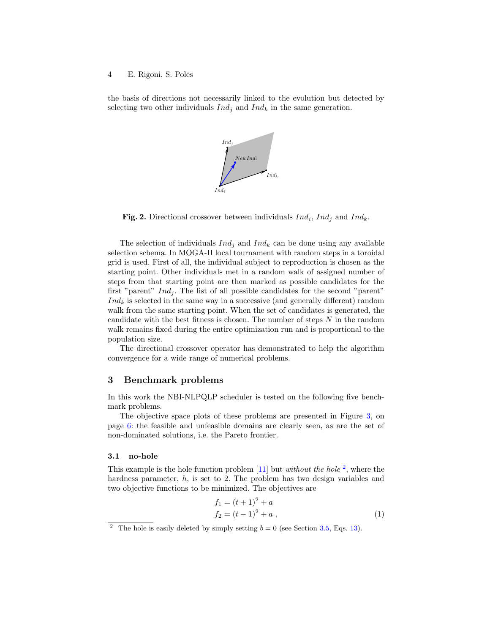the basis of directions not necessarily linked to the evolution but detected by selecting two other individuals  $Ind_j$  and  $Ind_k$  in the same generation.



<span id="page-3-0"></span>**Fig. 2.** Directional crossover between individuals  $Ind_i$ ,  $Ind_j$  and  $Ind_k$ .

The selection of individuals  $Ind_i$  and  $Ind_k$  can be done using any available selection schema. In MOGA-II local tournament with random steps in a toroidal grid is used. First of all, the individual subject to reproduction is chosen as the starting point. Other individuals met in a random walk of assigned number of steps from that starting point are then marked as possible candidates for the first "parent"  $Ind_i$ . The list of all possible candidates for the second "parent"  $Ind_k$  is selected in the same way in a successive (and generally different) random walk from the same starting point. When the set of candidates is generated, the candidate with the best fitness is chosen. The number of steps  $N$  in the random walk remains fixed during the entire optimization run and is proportional to the population size.

The directional crossover operator has demonstrated to help the algorithm convergence for a wide range of numerical problems.

### 3 Benchmark problems

In this work the NBI-NLPQLP scheduler is tested on the following five benchmark problems.

The objective space plots of these problems are presented in Figure [3,](#page-5-0) on page [6:](#page-5-0) the feasible and unfeasible domains are clearly seen, as are the set of non-dominated solutions, i.e. the Pareto frontier.

#### <span id="page-3-2"></span>3.1 no-hole

This example is the hole function problem  $[11]$  but *without the hole*  $^2$  $^2$ , where the hardness parameter, h, is set to 2. The problem has two design variables and two objective functions to be minimized. The objectives are

$$
f_1 = (t+1)^2 + a
$$
  
\n
$$
f_2 = (t-1)^2 + a
$$
, (1)

<span id="page-3-1"></span><sup>&</sup>lt;sup>2</sup> The hole is easily deleted by simply setting  $b = 0$  (see Section [3.5,](#page-6-0) Eqs. [13\)](#page-6-1).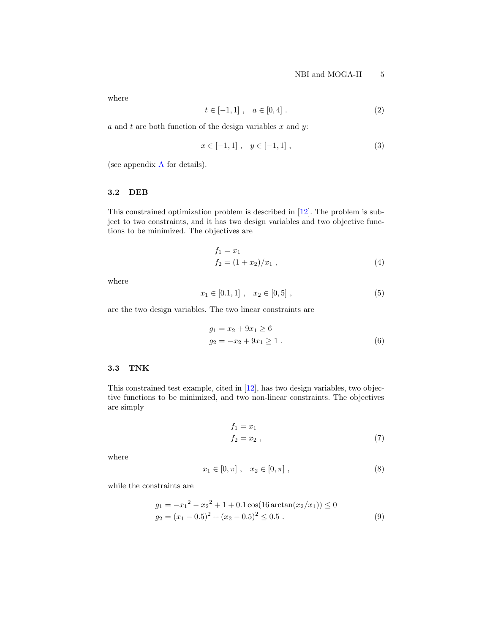where

$$
t \in [-1, 1], \quad a \in [0, 4]. \tag{2}
$$

 $a$  and  $t$  are both function of the design variables  $x$  and  $y$ :

$$
x \in [-1, 1], \quad y \in [-1, 1], \tag{3}
$$

(see appendix [A](#page-20-1) for details).

#### 3.2 DEB

This constrained optimization problem is described in [\[12\]](#page-21-10). The problem is subject to two constraints, and it has two design variables and two objective functions to be minimized. The objectives are

$$
f_1 = x_1
$$
  
\n
$$
f_2 = (1 + x_2)/x_1,
$$
\n(4)

where

$$
x_1 \in [0.1, 1], \quad x_2 \in [0, 5], \tag{5}
$$

are the two design variables. The two linear constraints are

$$
g_1 = x_2 + 9x_1 \ge 6
$$
  
\n
$$
g_2 = -x_2 + 9x_1 \ge 1.
$$
 (6)

### 3.3 TNK

This constrained test example, cited in [\[12\]](#page-21-10), has two design variables, two objective functions to be minimized, and two non-linear constraints. The objectives are simply

$$
f_1 = x_1
$$
  
\n
$$
f_2 = x_2
$$
, (7)

where

$$
x_1 \in [0, \pi], \quad x_2 \in [0, \pi], \tag{8}
$$

while the constraints are

$$
g_1 = -x_1^2 - x_2^2 + 1 + 0.1 \cos(16 \arctan(x_2/x_1)) \le 0
$$
  
\n
$$
g_2 = (x_1 - 0.5)^2 + (x_2 - 0.5)^2 \le 0.5
$$
 (9)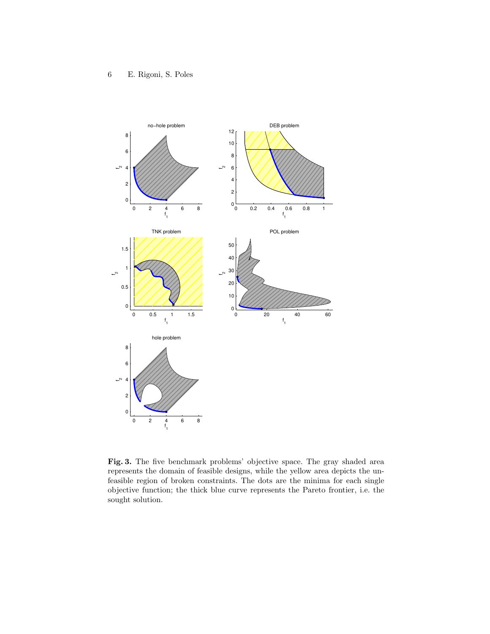

<span id="page-5-0"></span>Fig. 3. The five benchmark problems' objective space. The gray shaded area represents the domain of feasible designs, while the yellow area depicts the unfeasible region of broken constraints. The dots are the minima for each single objective function; the thick blue curve represents the Pareto frontier, i.e. the sought solution.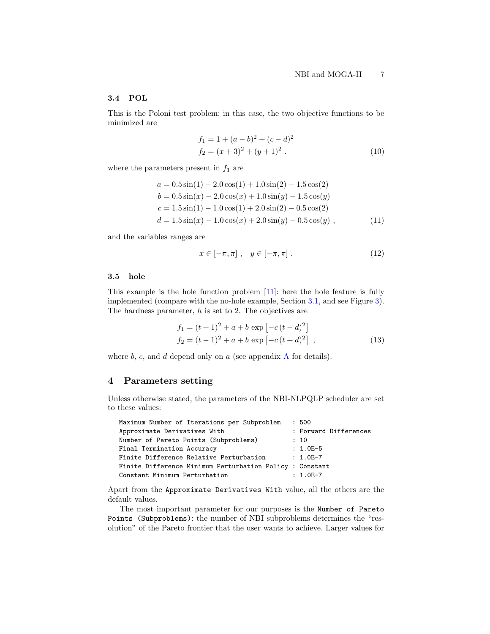## 3.4 POL

This is the Poloni test problem: in this case, the two objective functions to be minimized are

$$
f_1 = 1 + (a - b)^2 + (c - d)^2
$$
  
\n
$$
f_2 = (x + 3)^2 + (y + 1)^2.
$$
\n(10)

where the parameters present in  $f_1$  are

$$
a = 0.5 \sin(1) - 2.0 \cos(1) + 1.0 \sin(2) - 1.5 \cos(2)
$$
  
\n
$$
b = 0.5 \sin(x) - 2.0 \cos(x) + 1.0 \sin(y) - 1.5 \cos(y)
$$
  
\n
$$
c = 1.5 \sin(1) - 1.0 \cos(1) + 2.0 \sin(2) - 0.5 \cos(2)
$$
  
\n
$$
d = 1.5 \sin(x) - 1.0 \cos(x) + 2.0 \sin(y) - 0.5 \cos(y),
$$
\n(11)

and the variables ranges are

$$
x \in [-\pi, \pi], \quad y \in [-\pi, \pi]. \tag{12}
$$

#### <span id="page-6-0"></span>3.5 hole

This example is the hole function problem [\[11\]](#page-21-9): here the hole feature is fully implemented (compare with the no-hole example, Section [3.1,](#page-3-2) and see Figure [3\)](#page-5-0). The hardness parameter,  $h$  is set to 2. The objectives are

$$
f_1 = (t+1)^2 + a + b \exp[-c(t-d)^2]
$$
  
\n
$$
f_2 = (t-1)^2 + a + b \exp[-c(t+d)^2],
$$
\n(13)

<span id="page-6-1"></span>where  $b, c,$  and  $d$  depend only on  $a$  (see appendix  $A$  for details).

# <span id="page-6-2"></span>4 Parameters setting

Unless otherwise stated, the parameters of the NBI-NLPQLP scheduler are set to these values:

| Maximum Number of Iterations per Subproblem              | :500                  |
|----------------------------------------------------------|-----------------------|
| Approximate Derivatives With                             | : Forward Differences |
| Number of Pareto Points (Subproblems)                    | : 10                  |
| Final Termination Accuracy                               | $: 1.0E-5$            |
| Finite Difference Relative Perturbation                  | $: 1.0E - 7$          |
| Finite Difference Minimum Perturbation Policy : Constant |                       |
| Constant Minimum Perturbation                            | $: 1.0E-7$            |

Apart from the Approximate Derivatives With value, all the others are the default values.

The most important parameter for our purposes is the Number of Pareto Points (Subproblems): the number of NBI subproblems determines the "resolution" of the Pareto frontier that the user wants to achieve. Larger values for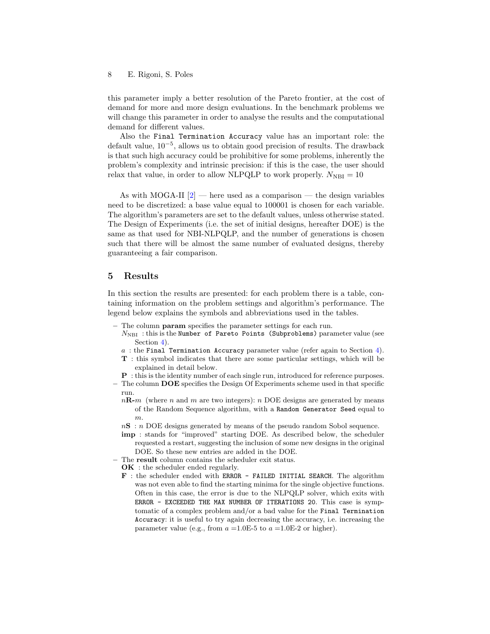this parameter imply a better resolution of the Pareto frontier, at the cost of demand for more and more design evaluations. In the benchmark problems we will change this parameter in order to analyse the results and the computational demand for different values.

Also the Final Termination Accuracy value has an important role: the default value, 10−<sup>5</sup> , allows us to obtain good precision of results. The drawback is that such high accuracy could be prohibitive for some problems, inherently the problem's complexity and intrinsic precision: if this is the case, the user should relax that value, in order to allow NLPQLP to work properly.  $N_{\text{NBI}} = 10$ 

As with MOGA-II  $[2]$  — here used as a comparison — the design variables need to be discretized: a base value equal to 100001 is chosen for each variable. The algorithm's parameters are set to the default values, unless otherwise stated. The Design of Experiments (i.e. the set of initial designs, hereafter DOE) is the same as that used for NBI-NLPQLP, and the number of generations is chosen such that there will be almost the same number of evaluated designs, thereby guaranteeing a fair comparison.

### 5 Results

In this section the results are presented: for each problem there is a table, containing information on the problem settings and algorithm's performance. The legend below explains the symbols and abbreviations used in the tables.

- The column param specifies the parameter settings for each run.
	- $N_{\text{NBI}}$  : this is the Number of Pareto Points (Subproblems) parameter value (see Section [4\)](#page-6-2).
	- $a$ : the Final Termination Accuracy parameter value (refer again to Section [4\)](#page-6-2).
	- T : this symbol indicates that there are some particular settings, which will be explained in detail below.
	- P : this is the identity number of each single run, introduced for reference purposes.
- The column  $\bf{DOE}$  specifies the Design Of Experiments scheme used in that specific run.
	- $n\mathbf{R}-m$  (where n and m are two integers): n DOE designs are generated by means of the Random Sequence algorithm, with a Random Generator Seed equal to m.
	- $nS : n$  DOE designs generated by means of the pseudo random Sobol sequence.
	- imp : stands for "improved" starting DOE. As described below, the scheduler requested a restart, suggesting the inclusion of some new designs in the original DOE. So these new entries are added in the DOE.
- The result column contains the scheduler exit status.

**OK** : the scheduler ended regularly.

F : the scheduler ended with ERROR - FAILED INITIAL SEARCH. The algorithm was not even able to find the starting minima for the single objective functions. Often in this case, the error is due to the NLPQLP solver, which exits with ERROR - EXCEEDED THE MAX NUMBER OF ITERATIONS 20. This case is symptomatic of a complex problem and/or a bad value for the Final Termination Accuracy: it is useful to try again decreasing the accuracy, i.e. increasing the parameter value (e.g., from  $a = 1.0E-5$  to  $a = 1.0E-2$  or higher).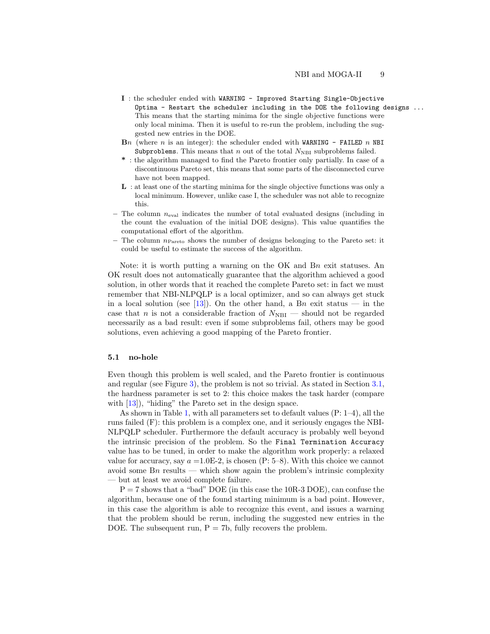- I : the scheduler ended with WARNING Improved Starting Single-Objective Optima - Restart the scheduler including in the DOE the following designs ... This means that the starting minima for the single objective functions were only local minima. Then it is useful to re-run the problem, including the suggested new entries in the DOE.
- $\mathbf{B}n$  (where n is an integer): the scheduler ended with WARNING FAILED n NBI Subproblems. This means that n out of the total  $N_{\text{NBI}}$  subproblems failed.
- \* : the algorithm managed to find the Pareto frontier only partially. In case of a discontinuous Pareto set, this means that some parts of the disconnected curve have not been mapped.
- L : at least one of the starting minima for the single objective functions was only a local minimum. However, unlike case I, the scheduler was not able to recognize this.
- The column  $n_{eval}$  indicates the number of total evaluated designs (including in the count the evaluation of the initial DOE designs). This value quantifies the computational effort of the algorithm.
- $-$  The column  $n_{\text{Pareto}}$  shows the number of designs belonging to the Pareto set: it could be useful to estimate the success of the algorithm.

Note: it is worth putting a warning on the OK and Bn exit statuses. An OK result does not automatically guarantee that the algorithm achieved a good solution, in other words that it reached the complete Pareto set: in fact we must remember that NBI-NLPQLP is a local optimizer, and so can always get stuck in a local solution (see [\[13\]](#page-21-11)). On the other hand, a Bn exit status — in the case that n is not a considerable fraction of  $N_{\text{NBI}}$  — should not be regarded necessarily as a bad result: even if some subproblems fail, others may be good solutions, even achieving a good mapping of the Pareto frontier.

#### <span id="page-8-0"></span>5.1 no-hole

Even though this problem is well scaled, and the Pareto frontier is continuous and regular (see Figure [3\)](#page-5-0), the problem is not so trivial. As stated in Section [3.1,](#page-3-2) the hardness parameter is set to 2: this choice makes the task harder (compare with [\[13\]](#page-21-11)), "hiding" the Pareto set in the design space.

As shown in Table [1,](#page-9-0) with all parameters set to default values (P: 1–4), all the runs failed (F): this problem is a complex one, and it seriously engages the NBI-NLPQLP scheduler. Furthermore the default accuracy is probably well beyond the intrinsic precision of the problem. So the Final Termination Accuracy value has to be tuned, in order to make the algorithm work properly: a relaxed value for accuracy, say  $a = 1.0E-2$ , is chosen (P: 5–8). With this choice we cannot avoid some  $B_n$  results — which show again the problem's intrinsic complexity — but at least we avoid complete failure.

 $P = 7$  shows that a "bad" DOE (in this case the 10R-3 DOE), can confuse the algorithm, because one of the found starting minimum is a bad point. However, in this case the algorithm is able to recognize this event, and issues a warning that the problem should be rerun, including the suggested new entries in the DOE. The subsequent run,  $P = 7b$ , fully recovers the problem.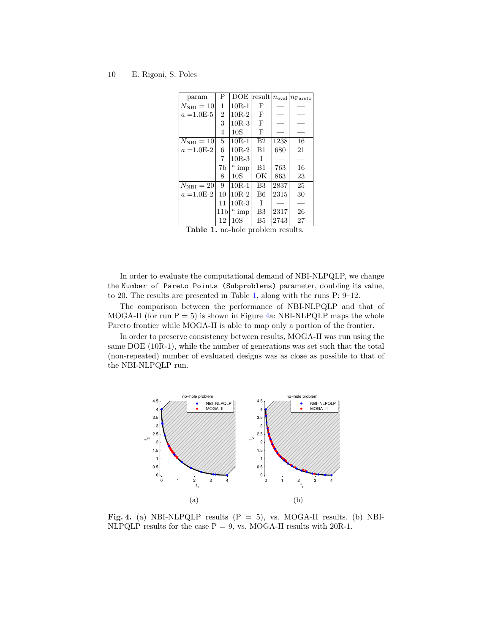| param            | Ρ              | <b>DOE</b> | $ {\rm result} $ | $n_{\mathrm{eval}}$ | $n_{\rm Pareto}$ |
|------------------|----------------|------------|------------------|---------------------|------------------|
| $N_{\rm NBI}=10$ | 1              | $10R - 1$  | F                |                     |                  |
| $a = 1.0E-5$     | $\overline{2}$ | $10R-2$    | F                |                     |                  |
|                  | 3              | $10R-3$    | $\mathbf{F}$     |                     |                  |
|                  | 4              | 10S        | $\mathbf{F}$     |                     |                  |
| $N_{\rm NBI}=10$ | 5              | $10R-1$    | B <sub>2</sub>   | 1238                | 16               |
| $a = 1.0E-2$     | 6              | $10R-2$    | B1               | 680                 | 21               |
|                  | 7              | $10R-3$    | T                |                     |                  |
|                  | 7b             | $\lq$ imp  | B1               | 763                 | 16               |
|                  | 8              | 10S        | ОK               | 863                 | 23               |
| $N_{\rm NBI}=20$ | 9              | $10R-1$    | B <sub>3</sub>   | 2837                | 25               |
| $a = 1.0E-2$     | 10             | $10R-2$    | B6               | 2315                | 30               |
|                  | 11             | $10R-3$    | T                |                     |                  |
|                  | 11b            | 4<br>imp   | B <sub>3</sub>   | 2317                | 26               |
|                  | 12             | 10S        | B <sub>5</sub>   | 2743                | 27               |

<span id="page-9-0"></span>Table 1. no-hole problem results.

In order to evaluate the computational demand of NBI-NLPQLP, we change the Number of Pareto Points (Subproblems) parameter, doubling its value, to 20. The results are presented in Table [1,](#page-9-0) along with the runs P: 9–12.

The comparison between the performance of NBI-NLPQLP and that of MOGA-II (for run  $P = 5$ ) is shown in Figure [4a](#page-9-1): NBI-NLPQLP maps the whole Pareto frontier while MOGA-II is able to map only a portion of the frontier.

In order to preserve consistency between results, MOGA-II was run using the same DOE (10R-1), while the number of generations was set such that the total (non-repeated) number of evaluated designs was as close as possible to that of the NBI-NLPQLP run.



<span id="page-9-1"></span>Fig. 4. (a) NBI-NLPQLP results  $(P = 5)$ , vs. MOGA-II results. (b) NBI-NLPQLP results for the case  $P = 9$ , vs. MOGA-II results with 20R-1.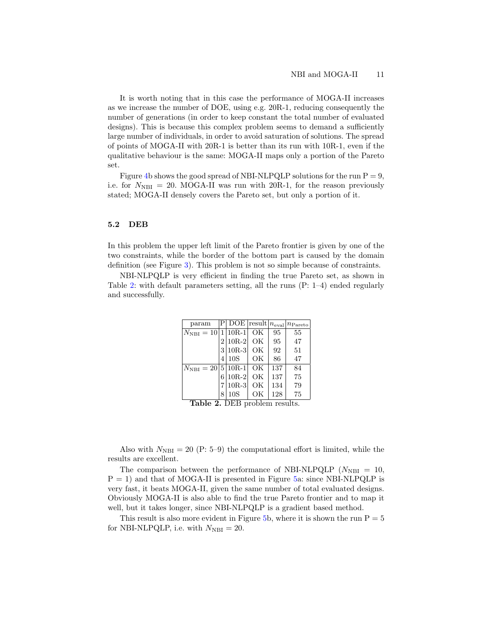It is worth noting that in this case the performance of MOGA-II increases as we increase the number of DOE, using e.g. 20R-1, reducing consequently the number of generations (in order to keep constant the total number of evaluated designs). This is because this complex problem seems to demand a sufficiently large number of individuals, in order to avoid saturation of solutions. The spread of points of MOGA-II with 20R-1 is better than its run with 10R-1, even if the qualitative behaviour is the same: MOGA-II maps only a portion of the Pareto set.

Figure [4b](#page-9-1) shows the good spread of NBI-NLPQLP solutions for the run  $P = 9$ , i.e. for  $N_{\text{NBI}} = 20$ . MOGA-II was run with 20R-1, for the reason previously stated; MOGA-II densely covers the Pareto set, but only a portion of it.

#### 5.2 DEB

In this problem the upper left limit of the Pareto frontier is given by one of the two constraints, while the border of the bottom part is caused by the domain definition (see Figure [3\)](#page-5-0). This problem is not so simple because of constraints.

NBI-NLPQLP is very efficient in finding the true Pareto set, as shown in Table [2:](#page-10-0) with default parameters setting, all the runs (P: 1–4) ended regularly and successfully.

| param                        |   |            |    |     | $P $ DOE  result   $n_{eval}$   $n_{\text{Pareto}}$ |
|------------------------------|---|------------|----|-----|-----------------------------------------------------|
| $ N_{\rm NBI} =10 $          |   | $1 10R-1$  | OK | 95  | 55                                                  |
|                              |   | $2 10R-2 $ | OК | 95  | 47                                                  |
|                              |   | $3 10R-3$  | OК | 92  | 51                                                  |
|                              | 4 | 10S        | OK | 86  | 47                                                  |
| $N_{\text{NBI}} = 201510R-1$ |   |            | OK | 137 | 84                                                  |
|                              | 6 | $10R-2$    | OК | 137 | 75                                                  |
|                              |   | $10R-3$    | OК | 134 | 79                                                  |
|                              | 8 | 10S        | OК | 128 | 75                                                  |

<span id="page-10-0"></span>Table 2. DEB problem results.

Also with  $N_{\text{NBI}} = 20$  (P: 5–9) the computational effort is limited, while the results are excellent.

The comparison between the performance of NBI-NLPQLP ( $N_{\text{NBI}} = 10$ ,  $P = 1$ ) and that of MOGA-II is presented in Figure [5a](#page-11-0): since NBI-NLPQLP is very fast, it beats MOGA-II, given the same number of total evaluated designs. Obviously MOGA-II is also able to find the true Pareto frontier and to map it well, but it takes longer, since NBI-NLPQLP is a gradient based method.

This result is also more evident in Figure [5b](#page-11-0), where it is shown the run  $P = 5$ for NBI-NLPQLP, i.e. with  $N_{\text{NBI}} = 20$ .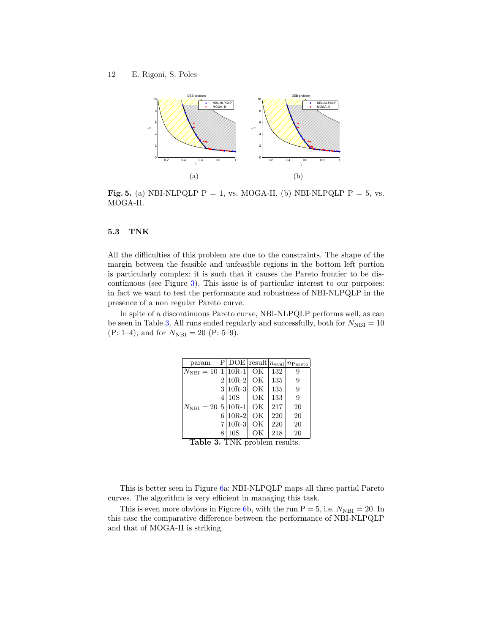

<span id="page-11-0"></span>**Fig. 5.** (a) NBI-NLPQLP P = 1, vs. MOGA-II. (b) NBI-NLPQLP P = 5, vs. MOGA-II.

#### 5.3 TNK

All the difficulties of this problem are due to the constraints. The shape of the margin between the feasible and unfeasible regions in the bottom left portion is particularly complex: it is such that it causes the Pareto frontier to be discontinuous (see Figure [3\)](#page-5-0). This issue is of particular interest to our purposes: in fact we want to test the performance and robustness of NBI-NLPQLP in the presence of a non regular Pareto curve.

In spite of a discontinuous Pareto curve, NBI-NLPQLP performs well, as can be seen in Table [3.](#page-11-1) All runs ended regularly and successfully, both for  $N_{\text{NBI}} = 10$ (P: 1–4), and for  $N_{\text{NBI}} = 20$  (P: 5–9).

| param                          |   |            |    |     | $\overline{P $ DOE  result $ n_{eval} $ $n_{\text{Pareto}}$ |
|--------------------------------|---|------------|----|-----|-------------------------------------------------------------|
| $N_{\text{NBI}} = 10 1 10R-1 $ |   |            | ОK | 132 | 9                                                           |
|                                |   | $2 10R-2 $ | OK | 135 | 9                                                           |
|                                |   | $3 10R-3 $ | OК | 135 | 9                                                           |
|                                | 4 | 10S        | OК | 133 | 9                                                           |
| $N_{\text{NBI}} = 20 5 10R-1 $ |   |            | OК | 217 | 20                                                          |
|                                | 6 | $10R-2$    | OК | 220 | 20                                                          |
|                                |   | $10R-3$    | OK | 220 | 20                                                          |
|                                | 8 | 10S        | ОK | 218 | 20                                                          |

<span id="page-11-1"></span>Table 3. TNK problem results.

This is better seen in Figure [6a](#page-12-0): NBI-NLPQLP maps all three partial Pareto curves. The algorithm is very efficient in managing this task.

This is even more obvious in Figure [6b](#page-12-0), with the run  $P = 5$ , i.e.  $N_{\text{NBI}} = 20$ . In this case the comparative difference between the performance of NBI-NLPQLP and that of MOGA-II is striking.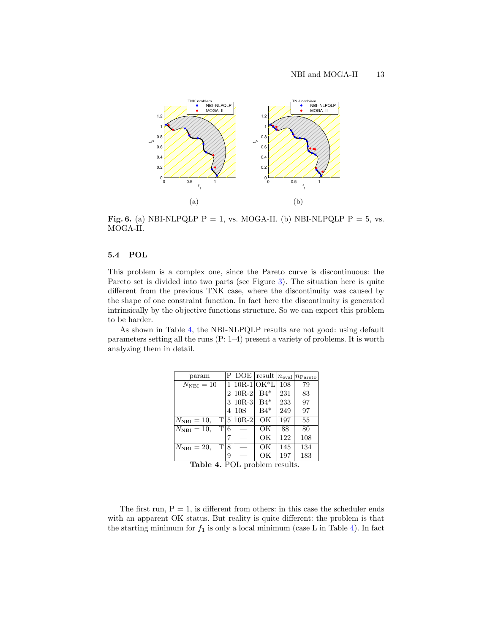

<span id="page-12-0"></span>**Fig. 6.** (a) NBI-NLPQLP P = 1, vs. MOGA-II. (b) NBI-NLPQLP P = 5, vs. MOGA-II.

### 5.4 POL

This problem is a complex one, since the Pareto curve is discontinuous: the Pareto set is divided into two parts (see Figure [3\)](#page-5-0). The situation here is quite different from the previous TNK case, where the discontinuity was caused by the shape of one constraint function. In fact here the discontinuity is generated intrinsically by the objective functions structure. So we can expect this problem to be harder.

As shown in Table [4,](#page-12-1) the NBI-NLPQLP results are not good: using default parameters setting all the runs (P: 1–4) present a variety of problems. It is worth analyzing them in detail.

| param                         | Р | DOE            | result | $ n_{\rm eval} $ | $ n_{\rm Pareto}$ |
|-------------------------------|---|----------------|--------|------------------|-------------------|
| $N_{\rm NBI}=10$              | 1 | $ 10R-1 OK^*L$ |        | 108              | 79                |
|                               | 2 | $10R-2$        | $B4*$  | 231              | 83                |
|                               | 3 | $10R-3$        | $B4*$  | 233              | 97                |
|                               | 4 | 10S            | $B4*$  | 249              | 97                |
| T 5<br>$N_{\text{NBI}} = 10,$ |   | $10R-2$        | OK     | 197              | 55                |
| Т<br>$N_{\text{NBI}} = 10,$   | 6 |                | ОK     | 88               | 80                |
|                               |   |                | ОK     | 122              | 108               |
| T<br>$N_{\rm NBI}=20,$        | 8 |                | OК     | 145              | 134               |
|                               | 9 |                | ОK     | 197              | 183               |

<span id="page-12-1"></span>Table 4. POL problem results.

The first run,  $P = 1$ , is different from others: in this case the scheduler ends with an apparent OK status. But reality is quite different: the problem is that the starting minimum for  $f_1$  is only a local minimum (case L in Table [4\)](#page-12-1). In fact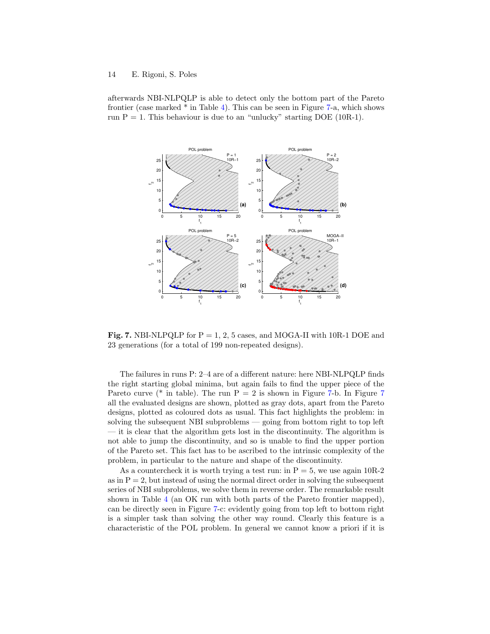afterwards NBI-NLPQLP is able to detect only the bottom part of the Pareto frontier (case marked \* in Table [4\)](#page-12-1). This can be seen in Figure [7-](#page-13-0)a, which shows run  $P = 1$ . This behaviour is due to an "unlucky" starting DOE (10R-1).



<span id="page-13-0"></span>Fig. 7. NBI-NLPQLP for  $P = 1, 2, 5$  cases, and MOGA-II with 10R-1 DOE and 23 generations (for a total of 199 non-repeated designs).

The failures in runs P: 2–4 are of a different nature: here NBI-NLPQLP finds the right starting global minima, but again fails to find the upper piece of the Pareto curve (\* in table). The run  $P = 2$  is shown in Figure [7-](#page-13-0)b. In Figure [7](#page-13-0) all the evaluated designs are shown, plotted as gray dots, apart from the Pareto designs, plotted as coloured dots as usual. This fact highlights the problem: in solving the subsequent NBI subproblems — going from bottom right to top left — it is clear that the algorithm gets lost in the discontinuity. The algorithm is not able to jump the discontinuity, and so is unable to find the upper portion of the Pareto set. This fact has to be ascribed to the intrinsic complexity of the problem, in particular to the nature and shape of the discontinuity.

As a countercheck it is worth trying a test run: in  $P = 5$ , we use again 10R-2 as in  $P = 2$ , but instead of using the normal direct order in solving the subsequent series of NBI subproblems, we solve them in reverse order. The remarkable result shown in Table [4](#page-12-1) (an OK run with both parts of the Pareto frontier mapped), can be directly seen in Figure [7-](#page-13-0)c: evidently going from top left to bottom right is a simpler task than solving the other way round. Clearly this feature is a characteristic of the POL problem. In general we cannot know a priori if it is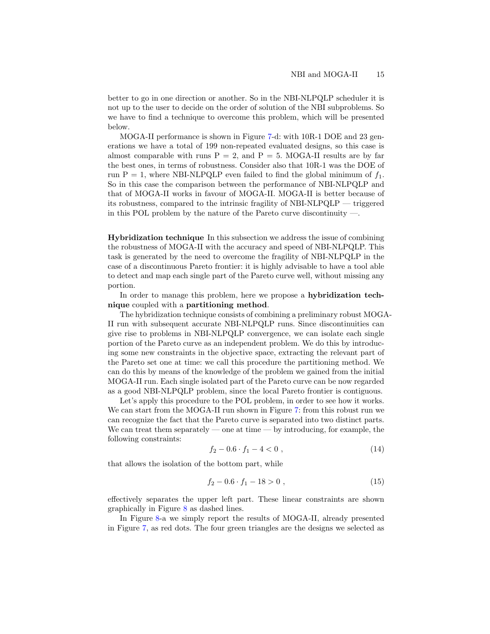better to go in one direction or another. So in the NBI-NLPQLP scheduler it is not up to the user to decide on the order of solution of the NBI subproblems. So we have to find a technique to overcome this problem, which will be presented below.

MOGA-II performance is shown in Figure [7-](#page-13-0)d: with 10R-1 DOE and 23 generations we have a total of 199 non-repeated evaluated designs, so this case is almost comparable with runs  $P = 2$ , and  $P = 5$ . MOGA-II results are by far the best ones, in terms of robustness. Consider also that 10R-1 was the DOE of run P = 1, where NBI-NLPQLP even failed to find the global minimum of  $f_1$ . So in this case the comparison between the performance of NBI-NLPQLP and that of MOGA-II works in favour of MOGA-II. MOGA-II is better because of its robustness, compared to the intrinsic fragility of NBI-NLPQLP — triggered in this POL problem by the nature of the Pareto curve discontinuity  $\overline{\phantom{a}}$ .

Hybridization technique In this subsection we address the issue of combining the robustness of MOGA-II with the accuracy and speed of NBI-NLPQLP. This task is generated by the need to overcome the fragility of NBI-NLPQLP in the case of a discontinuous Pareto frontier: it is highly advisable to have a tool able to detect and map each single part of the Pareto curve well, without missing any portion.

In order to manage this problem, here we propose a hybridization technique coupled with a partitioning method.

The hybridization technique consists of combining a preliminary robust MOGA-II run with subsequent accurate NBI-NLPQLP runs. Since discontinuities can give rise to problems in NBI-NLPQLP convergence, we can isolate each single portion of the Pareto curve as an independent problem. We do this by introducing some new constraints in the objective space, extracting the relevant part of the Pareto set one at time: we call this procedure the partitioning method. We can do this by means of the knowledge of the problem we gained from the initial MOGA-II run. Each single isolated part of the Pareto curve can be now regarded as a good NBI-NLPQLP problem, since the local Pareto frontier is contiguous.

Let's apply this procedure to the POL problem, in order to see how it works. We can start from the MOGA-II run shown in Figure [7:](#page-13-0) from this robust run we can recognize the fact that the Pareto curve is separated into two distinct parts. We can treat them separately — one at time — by introducing, for example, the following constraints:

$$
f_2 - 0.6 \cdot f_1 - 4 < 0 \tag{14}
$$

<span id="page-14-1"></span><span id="page-14-0"></span>that allows the isolation of the bottom part, while

$$
f_2 - 0.6 \cdot f_1 - 18 > 0 , \qquad (15)
$$

effectively separates the upper left part. These linear constraints are shown graphically in Figure [8](#page-15-0) as dashed lines.

In Figure [8-](#page-15-0)a we simply report the results of MOGA-II, already presented in Figure [7,](#page-13-0) as red dots. The four green triangles are the designs we selected as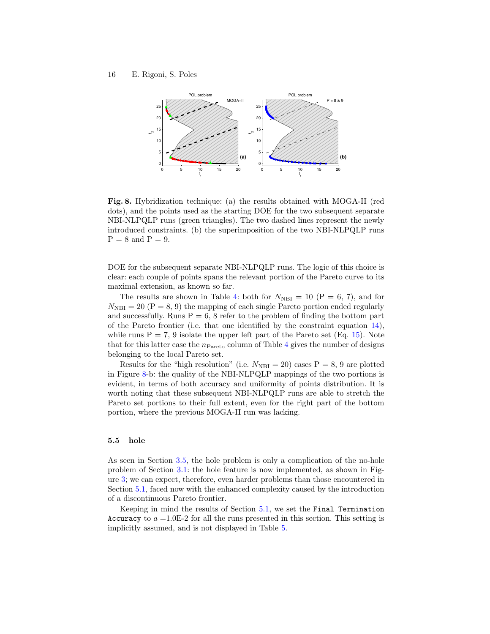

<span id="page-15-0"></span>Fig. 8. Hybridization technique: (a) the results obtained with MOGA-II (red dots), and the points used as the starting DOE for the two subsequent separate NBI-NLPQLP runs (green triangles). The two dashed lines represent the newly introduced constraints. (b) the superimposition of the two NBI-NLPQLP runs  $P = 8$  and  $P = 9$ .

DOE for the subsequent separate NBI-NLPQLP runs. The logic of this choice is clear: each couple of points spans the relevant portion of the Pareto curve to its maximal extension, as known so far.

The results are shown in Table [4:](#page-12-1) both for  $N_{\text{NBI}} = 10$  (P = 6, 7), and for  $N_{\text{NBI}} = 20$  (P = 8, 9) the mapping of each single Pareto portion ended regularly and successfully. Runs  $P = 6$ , 8 refer to the problem of finding the bottom part of the Pareto frontier (i.e. that one identified by the constraint equation [14\)](#page-14-0), while runs  $P = 7$ , 9 isolate the upper left part of the Pareto set (Eq. [15\)](#page-14-1). Note that for this latter case the  $n<sub>Pareto</sub>$  column of Table [4](#page-12-1) gives the number of designs belonging to the local Pareto set.

Results for the "high resolution" (i.e.  $N_{\text{NBI}} = 20$ ) cases P = 8, 9 are plotted in Figure [8-](#page-15-0)b: the quality of the NBI-NLPQLP mappings of the two portions is evident, in terms of both accuracy and uniformity of points distribution. It is worth noting that these subsequent NBI-NLPQLP runs are able to stretch the Pareto set portions to their full extent, even for the right part of the bottom portion, where the previous MOGA-II run was lacking.

#### 5.5 hole

As seen in Section [3.5,](#page-6-0) the hole problem is only a complication of the no-hole problem of Section [3.1:](#page-3-2) the hole feature is now implemented, as shown in Figure [3;](#page-5-0) we can expect, therefore, even harder problems than those encountered in Section [5.1,](#page-8-0) faced now with the enhanced complexity caused by the introduction of a discontinuous Pareto frontier.

Keeping in mind the results of Section [5.1,](#page-8-0) we set the Final Termination Accuracy to  $a = 1.0E-2$  for all the runs presented in this section. This setting is implicitly assumed, and is not displayed in Table [5.](#page-16-0)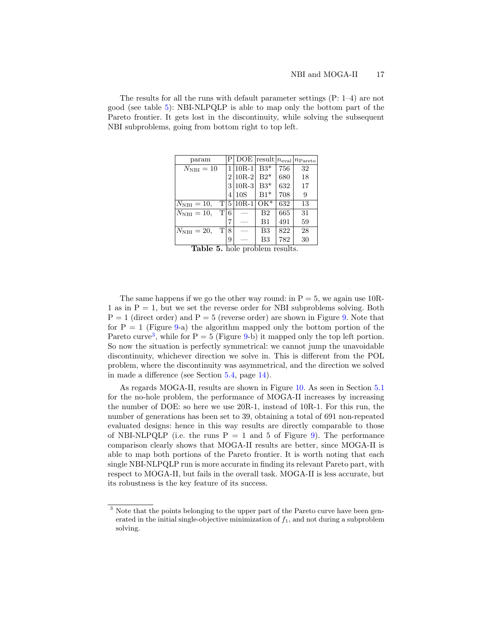The results for all the runs with default parameter settings (P: 1–4) are not good (see table [5\)](#page-16-0): NBI-NLPQLP is able to map only the bottom part of the Pareto frontier. It gets lost in the discontinuity, while solving the subsequent NBI subproblems, going from bottom right to top left.

| param                    |                | $\overline{\mathrm{DOE}}$ result $n_{\mathrm{eval}}$ |                |     | $n_{\rm Pareto}$ |
|--------------------------|----------------|------------------------------------------------------|----------------|-----|------------------|
| $N_{\rm NBI}=10$         |                | $1 10R-1$                                            | $B3*$          | 756 | 32               |
|                          | $\overline{2}$ | $10R-2$                                              | $B2*$          | 680 | 18               |
|                          | 3              | $10R-3$                                              | $B3*$          | 632 | 17               |
|                          | 4              | 10S                                                  | $B1*$          | 708 | 9                |
| T 5<br>$N_{\rm NBI}=10,$ |                | $ 10R-1$                                             | $OK^*$         | 632 | 13               |
| T 6<br>$N_{\rm NBI}=10,$ |                |                                                      | B <sub>2</sub> | 665 | 31               |
|                          |                |                                                      | $_{\rm B1}$    | 491 | 59               |
| Тl<br>$N_{\rm NBI}=20,$  | 8              |                                                      | B <sub>3</sub> | 822 | 28               |
| - -                      | 9              |                                                      | B3<br>. .      | 782 | 30               |

<span id="page-16-0"></span>Table 5. hole problem results.

The same happens if we go the other way round: in  $P = 5$ , we again use 10R-1 as in  $P = 1$ , but we set the reverse order for NBI subproblems solving. Both  $P = 1$  (direct order) and  $P = 5$  (reverse order) are shown in Figure [9.](#page-17-0) Note that for  $P = 1$  (Figure [9-](#page-17-0)a) the algorithm mapped only the bottom portion of the Pareto curve<sup>[3](#page-16-1)</sup>, while for  $P = 5$  (Figure [9-](#page-17-0)b) it mapped only the top left portion. So now the situation is perfectly symmetrical: we cannot jump the unavoidable discontinuity, whichever direction we solve in. This is different from the POL problem, where the discontinuity was asymmetrical, and the direction we solved in made a difference (see Section [5.4,](#page-13-0) page [14\)](#page-13-0).

As regards MOGA-II, results are shown in Figure [10.](#page-17-1) As seen in Section [5.1](#page-8-0) for the no-hole problem, the performance of MOGA-II increases by increasing the number of DOE: so here we use 20R-1, instead of 10R-1. For this run, the number of generations has been set to 39, obtaining a total of 691 non-repeated evaluated designs: hence in this way results are directly comparable to those of NBI-NLPQLP (i.e. the runs  $P = 1$  and 5 of Figure [9\)](#page-17-0). The performance comparison clearly shows that MOGA-II results are better, since MOGA-II is able to map both portions of the Pareto frontier. It is worth noting that each single NBI-NLPQLP run is more accurate in finding its relevant Pareto part, with respect to MOGA-II, but fails in the overall task. MOGA-II is less accurate, but its robustness is the key feature of its success.

<span id="page-16-1"></span> $^3$  Note that the points belonging to the upper part of the Pareto curve have been generated in the initial single-objective minimization of  $f_1$ , and not during a subproblem solving.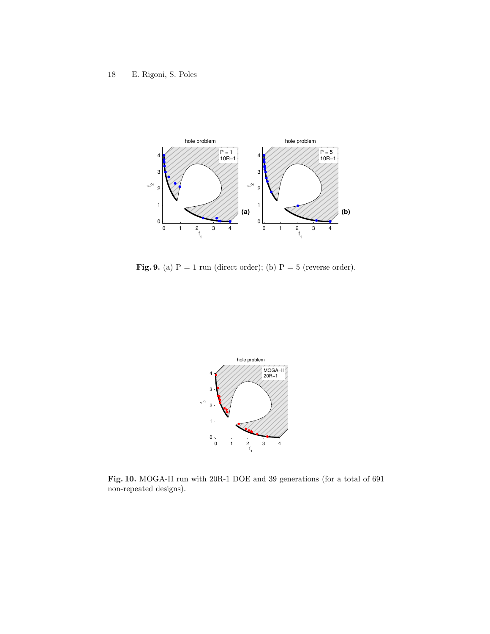

<span id="page-17-0"></span>Fig. 9. (a)  $P = 1$  run (direct order); (b)  $P = 5$  (reverse order).



<span id="page-17-1"></span>Fig. 10. MOGA-II run with 20R-1 DOE and 39 generations (for a total of 691 non-repeated designs).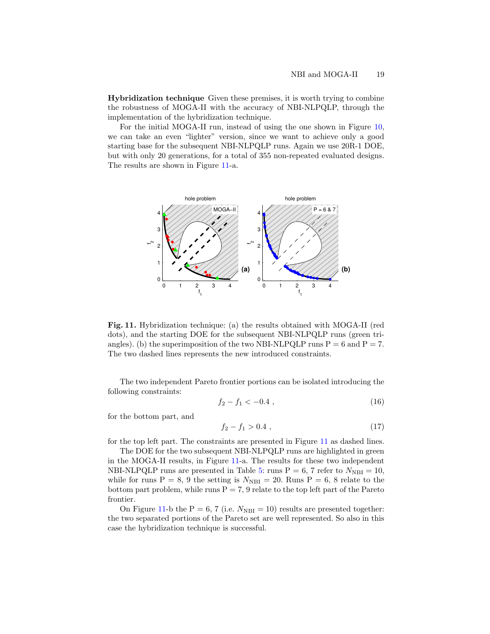Hybridization technique Given these premises, it is worth trying to combine the robustness of MOGA-II with the accuracy of NBI-NLPQLP, through the implementation of the hybridization technique.

For the initial MOGA-II run, instead of using the one shown in Figure [10,](#page-17-1) we can take an even "lighter" version, since we want to achieve only a good starting base for the subsequent NBI-NLPQLP runs. Again we use 20R-1 DOE, but with only 20 generations, for a total of 355 non-repeated evaluated designs. The results are shown in Figure [11-](#page-18-0)a.



<span id="page-18-0"></span>Fig. 11. Hybridization technique: (a) the results obtained with MOGA-II (red dots), and the starting DOE for the subsequent NBI-NLPQLP runs (green triangles). (b) the superimposition of the two NBI-NLPQLP runs  $P = 6$  and  $P = 7$ . The two dashed lines represents the new introduced constraints.

The two independent Pareto frontier portions can be isolated introducing the following constraints:

$$
f_2 - f_1 < -0.4 \tag{16}
$$

for the bottom part, and

$$
f_2 - f_1 > 0.4 \tag{17}
$$

for the top left part. The constraints are presented in Figure [11](#page-18-0) as dashed lines.

The DOE for the two subsequent NBI-NLPQLP runs are highlighted in green in the MOGA-II results, in Figure [11-](#page-18-0)a. The results for these two independent NBI-NLPQLP runs are presented in Table [5:](#page-16-0) runs  $P = 6$ , 7 refer to  $N_{\text{NBI}} = 10$ , while for runs P = 8, 9 the setting is  $N_{\text{NBI}} = 20$ . Runs P = 6, 8 relate to the bottom part problem, while runs  $P = 7$ , 9 relate to the top left part of the Pareto frontier.

On Figure [11-](#page-18-0)b the P = 6, 7 (i.e.  $N_{\text{NBI}} = 10$ ) results are presented together: the two separated portions of the Pareto set are well represented. So also in this case the hybridization technique is successful.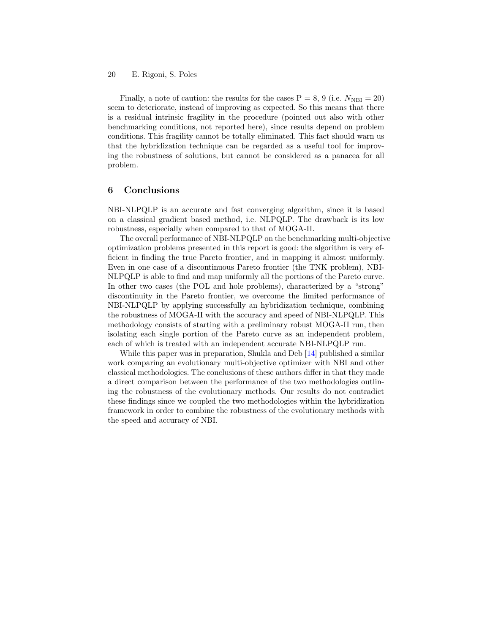Finally, a note of caution: the results for the cases  $P = 8, 9$  (i.e.  $N_{\text{NBI}} = 20$ ) seem to deteriorate, instead of improving as expected. So this means that there is a residual intrinsic fragility in the procedure (pointed out also with other benchmarking conditions, not reported here), since results depend on problem conditions. This fragility cannot be totally eliminated. This fact should warn us that the hybridization technique can be regarded as a useful tool for improving the robustness of solutions, but cannot be considered as a panacea for all problem.

# 6 Conclusions

NBI-NLPQLP is an accurate and fast converging algorithm, since it is based on a classical gradient based method, i.e. NLPQLP. The drawback is its low robustness, especially when compared to that of MOGA-II.

The overall performance of NBI-NLPQLP on the benchmarking multi-objective optimization problems presented in this report is good: the algorithm is very efficient in finding the true Pareto frontier, and in mapping it almost uniformly. Even in one case of a discontinuous Pareto frontier (the TNK problem), NBI-NLPQLP is able to find and map uniformly all the portions of the Pareto curve. In other two cases (the POL and hole problems), characterized by a "strong" discontinuity in the Pareto frontier, we overcome the limited performance of NBI-NLPQLP by applying successfully an hybridization technique, combining the robustness of MOGA-II with the accuracy and speed of NBI-NLPQLP. This methodology consists of starting with a preliminary robust MOGA-II run, then isolating each single portion of the Pareto curve as an independent problem, each of which is treated with an independent accurate NBI-NLPQLP run.

While this paper was in preparation, Shukla and Deb [\[14\]](#page-21-12) published a similar work comparing an evolutionary multi-objective optimizer with NBI and other classical methodologies. The conclusions of these authors differ in that they made a direct comparison between the performance of the two methodologies outlining the robustness of the evolutionary methods. Our results do not contradict these findings since we coupled the two methodologies within the hybridization framework in order to combine the robustness of the evolutionary methods with the speed and accuracy of NBI.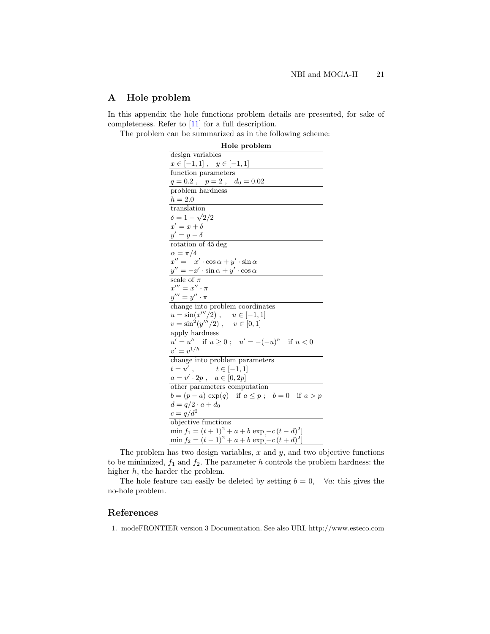# <span id="page-20-1"></span>A Hole problem

In this appendix the hole functions problem details are presented, for sake of completeness. Refer to [\[11\]](#page-21-9) for a full description.

The problem can be summarized as in the following scheme:

| Hole problem                                                      |
|-------------------------------------------------------------------|
| design variables                                                  |
| $x \in [-1,1], \quad y \in [-1,1]$                                |
| function parameters                                               |
| $q = 0.2$ , $p = 2$ , $d_0 = 0.02$                                |
| problem hardness                                                  |
| $h=2.0$                                                           |
| translation                                                       |
| $\delta = 1 - \sqrt{2}/2$                                         |
| $x' = x + \delta$                                                 |
| $y'=y-\delta$                                                     |
| rotation of 45 deg                                                |
| $\alpha = \pi/4$                                                  |
| $x'' = x' \cdot \cos \alpha + y' \cdot \sin \alpha$               |
| $y'' = -x' \cdot \sin \alpha + y' \cdot \cos \alpha$              |
| scale of $\pi$                                                    |
| $x''' = x'' \cdot \pi$                                            |
| $y''' = y'' \cdot \pi$                                            |
| change into problem coordinates                                   |
| $u = \sin(x'''/2)$ , $u \in [-1, 1]$                              |
| $v = \sin^2(y'''/2)$ , $v \in [0,1]$                              |
| apply hardness                                                    |
| $u' = u^h$ if $u \ge 0$ ; $u' = -(-u)^h$ if $u < 0$               |
| $v' = v^{1/h}$                                                    |
| change into problem parameters                                    |
| $t = u'$ , $t \in [-1, 1]$<br>$a = v' \cdot 2p$ , $a \in [0, 2p]$ |
|                                                                   |
| other parameters computation                                      |
| $b = (p - a) \exp(q)$ if $a \leq p$ ; $b = 0$ if $a > p$          |
| $d = q/2 \cdot a + d_0$                                           |
| $c = q/d^2$                                                       |
| objective functions                                               |
| $\min f_1 = (t+1)^2 + a + b \exp[-c(t-d)^2]$                      |
| $\min f_2 = (t-1)^2 + a + b \exp[-c(t+d)^2]$                      |

The problem has two design variables,  $x$  and  $y$ , and two objective functions to be minimized,  $f_1$  and  $f_2$ . The parameter h controls the problem hardness: the higher h, the harder the problem.

The hole feature can easily be deleted by setting  $b = 0$ ,  $\forall a$ : this gives the no-hole problem.

# <span id="page-20-0"></span>References

1. modeFRONTIER version 3 Documentation. See also URL http://www.esteco.com